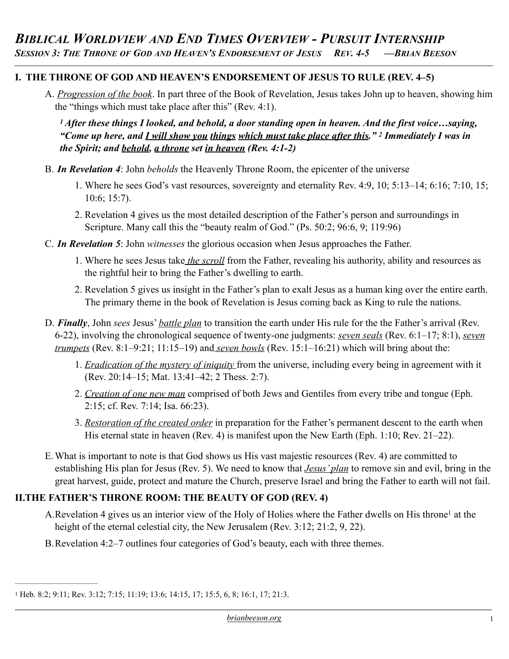*\_\_\_\_\_\_\_\_\_\_\_\_\_\_\_\_\_\_\_\_\_\_\_\_\_\_\_\_\_\_\_\_\_\_\_\_\_\_\_\_\_\_\_\_\_\_\_\_\_\_\_\_\_\_\_\_\_\_\_\_\_\_\_\_\_\_\_\_\_\_\_\_\_\_\_\_\_\_\_\_\_\_\_\_\_\_\_\_\_\_\_\_\_\_\_\_\_\_\_\_\_\_\_\_\_\_\_\_\_\_\_\_\_\_\_\_\_\_\_\_\_\_\_\_\_\_\_\_\_\_\_\_\_\_\_\_\_\_\_\_\_\_\_\_*

#### **I. THE THRONE OF GOD AND HEAVEN'S ENDORSEMENT OF JESUS TO RULE (REV. 4–5)**

A. *Progression of the book*. In part three of the Book of Revelation, Jesus takes John up to heaven, showing him the "things which must take place after this" (Rev. 4:1).

*1 After these things I looked, and behold, a door standing open in heaven. And the first voice…saying, "Come up here, and I will show you things which must take place after this." 2 Immediately I was in the Spirit; and behold, a throne set in heaven (Rev. 4:1-2)* 

- B. *In Revelation 4*: John *beholds* the Heavenly Throne Room, the epicenter of the universe
	- 1. Where he sees God's vast resources, sovereignty and eternality Rev. 4:9, 10; 5:13–14; 6:16; 7:10, 15; 10:6; 15:7).
	- 2. Revelation 4 gives us the most detailed description of the Father's person and surroundings in Scripture. Many call this the "beauty realm of God." (Ps. 50:2; 96:6, 9; 119:96)
- C. *In Revelation 5*: John *witnesses* the glorious occasion when Jesus approaches the Father.
	- 1. Where he sees Jesus take *the scroll* from the Father, revealing his authority, ability and resources as the rightful heir to bring the Father's dwelling to earth.
	- 2. Revelation 5 gives us insight in the Father's plan to exalt Jesus as a human king over the entire earth. The primary theme in the book of Revelation is Jesus coming back as King to rule the nations.
- D. *Finally*, John *sees* Jesus' *battle plan* to transition the earth under His rule for the the Father's arrival (Rev. 6-22), involving the chronological sequence of twenty-one judgments: *seven seals* (Rev. 6:1–17; 8:1), *seven trumpets* (Rev. 8:1–9:21; 11:15–19) and *seven bowls* (Rev. 15:1–16:21) which will bring about the:
	- 1. *Eradication of the mystery of iniquity* from the universe, including every being in agreement with it (Rev. 20:14–15; Mat. 13:41–42; 2 Thess. 2:7).
	- 2. *Creation of one new man* comprised of both Jews and Gentiles from every tribe and tongue (Eph. 2:15; cf. Rev. 7:14; Isa. 66:23).
	- 3. *Restoration of the created order* in preparation for the Father's permanent descent to the earth when His eternal state in heaven (Rev. 4) is manifest upon the New Earth (Eph. 1:10; Rev. 21–22).
- E.What is important to note is that God shows us His vast majestic resources (Rev. 4) are committed to establishing His plan for Jesus (Rev. 5). We need to know that *Jesus' plan* to remove sin and evil, bring in the great harvest, guide, protect and mature the Church, preserve Israel and bring the Father to earth will not fail.

### **II.THE FATHER'S THRONE ROOM: THE BEAUTY OF GOD (REV. 4)**

- <span id="page-0-1"></span>A.R[e](#page-0-0)velation 4 gives us an interior view of the Holy of Holies where the Father dwells on His throne<sup>[1](#page-0-0)</sup> at the height of the eternal celestial city, the New Jerusalem (Rev. 3:12; 21:2, 9, 22).
- B.Revelation 4:2–7 outlines four categories of God's beauty, each with three themes.

<span id="page-0-0"></span>Heb. 8:2; 9:11; Rev. 3:12; 7:15; 11:19; 13:6; 14:15, 17; 15:5, 6, 8; 16:1, 17; 21:3. [1](#page-0-1)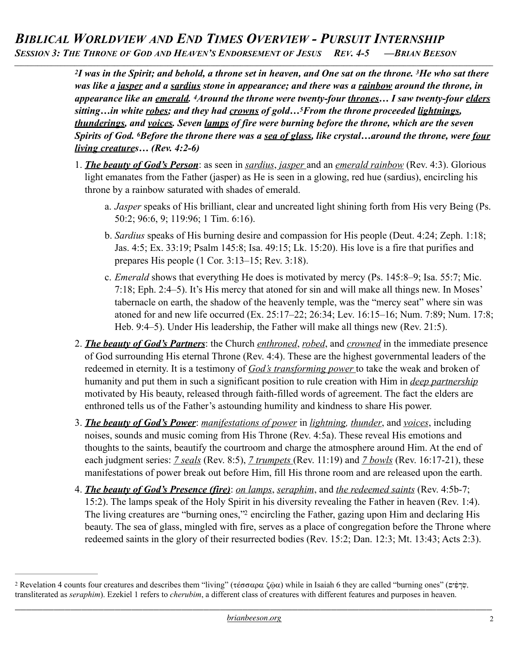## *BIBLICAL WORLDVIEW AND END TIMES OVERVIEW - PURSUIT INTERNSHIP SESSION 3: THE THRONE OF GOD AND HEAVEN'S ENDORSEMENT OF JESUS REV. 4-5 —BRIAN BEESON*

*\_\_\_\_\_\_\_\_\_\_\_\_\_\_\_\_\_\_\_\_\_\_\_\_\_\_\_\_\_\_\_\_\_\_\_\_\_\_\_\_\_\_\_\_\_\_\_\_\_\_\_\_\_\_\_\_\_\_\_\_\_\_\_\_\_\_\_\_\_\_\_\_\_\_\_\_\_\_\_\_\_\_\_\_\_\_\_\_\_\_\_\_\_\_\_\_\_\_\_\_\_\_\_\_\_\_\_\_\_\_\_\_\_\_\_\_\_\_\_\_\_\_\_\_\_\_\_\_\_\_\_\_\_\_\_\_\_\_\_\_\_\_\_\_*

*2I was in the Spirit; and behold, a throne set in heaven, and One sat on the throne. 3He who sat there was like a jasper and a sardius stone in appearance; and there was a rainbow around the throne, in appearance like an emerald. 4Around the throne were twenty-four thrones… I saw twenty-four elders sitting…in white robes; and they had crowns of gold…5From the throne proceeded lightnings, thunderings, and voices. Seven lamps of fire were burning before the throne, which are the seven Spirits of God. 6Before the throne there was a sea of glass, like crystal... around the throne, were four living creatures… (Rev. 4:2-6)* 

- 1. *The beauty of God's Person*: as seen in *sardius*, *jasper* and an *emerald rainbow* (Rev. 4:3). Glorious light emanates from the Father (jasper) as He is seen in a glowing, red hue (sardius), encircling his throne by a rainbow saturated with shades of emerald.
	- a. *Jasper* speaks of His brilliant, clear and uncreated light shining forth from His very Being (Ps. 50:2; 96:6, 9; 119:96; 1 Tim. 6:16).
	- b. *Sardius* speaks of His burning desire and compassion for His people (Deut. 4:24; Zeph. 1:18; Jas. 4:5; Ex. 33:19; Psalm 145:8; Isa. 49:15; Lk. 15:20). His love is a fire that purifies and prepares His people (1 Cor. 3:13–15; Rev. 3:18).
	- c. *Emerald* shows that everything He does is motivated by mercy (Ps. 145:8–9; Isa. 55:7; Mic. 7:18; Eph. 2:4–5). It's His mercy that atoned for sin and will make all things new. In Moses' tabernacle on earth, the shadow of the heavenly temple, was the "mercy seat" where sin was atoned for and new life occurred (Ex. 25:17–22; 26:34; Lev. 16:15–16; Num. 7:89; Num. 17:8; Heb. 9:4–5). Under His leadership, the Father will make all things new (Rev. 21:5).
- 2. *The beauty of God's Partners*: the Church *enthroned*, *robed*, and *crowned* in the immediate presence of God surrounding His eternal Throne (Rev. 4:4). These are the highest governmental leaders of the redeemed in eternity. It is a testimony of *God's transforming power* to take the weak and broken of humanity and put them in such a significant position to rule creation with Him in *deep partnership* motivated by His beauty, released through faith-filled words of agreement. The fact the elders are enthroned tells us of the Father's astounding humility and kindness to share His power.
- 3. *The beauty of God's Power*: *manifestations of power* in *lightning, thunder*, and *voices*, including noises, sounds and music coming from His Throne (Rev. 4:5a). These reveal His emotions and thoughts to the saints, beautify the courtroom and charge the atmosphere around Him. At the end of each judgment series: *7 seals* (Rev. 8:5), *7 trumpets* (Rev. 11:19) and *7 bowls* (Rev. 16:17-21), these manifestations of power break out before Him, fill His throne room and are released upon the earth.
- <span id="page-1-1"></span>4. *The beauty of God's Presence (fire)*: *on lamps*, *seraphim*, and *the redeemed saints* (Rev. 4:5b-7; 15:2). The lamps speak of the Holy Spirit in his diversity revealing the Father in heaven (Rev. 1:4). The living creatures are ["](#page-1-0)burning ones," encircling the Father, gazing upon Him and declaring His beauty. The sea of glass, mingled with fire, serves as a place of congregation before the Throne where redeemed saints in the glory of their resurrected bodies (Rev. 15:2; Dan. 12:3; Mt. 13:43; Acts 2:3).

<span id="page-1-0"></span><sup>&</sup>lt;sup>[2](#page-1-1)</sup> Revelation 4 counts four creatures and describes them "living" (τέσσαρα ζ®α) while in Isaiah 6 they are called "burning ones" (שֲרֹפִים), transliterated as *seraphim*). Ezekiel 1 refers to *cherubim*, a different class of creatures with different features and purposes in heaven.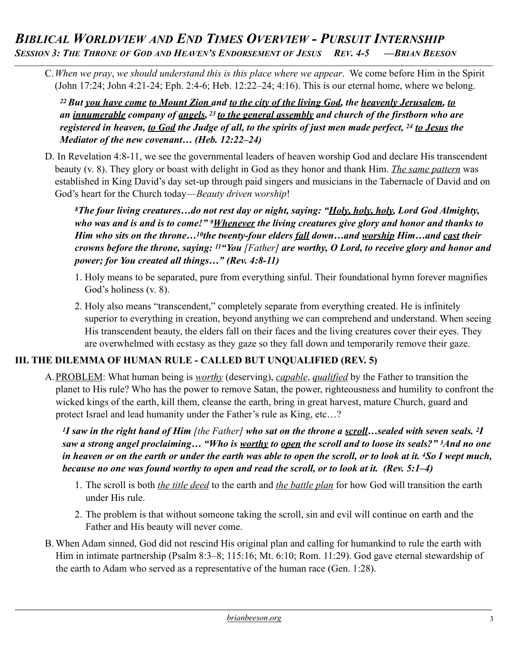## *BIBLICAL WORLDVIEW AND END TIMES OVERVIEW - PURSUIT INTERNSHIP SESSION 3: THE THRONE OF GOD AND HEAVEN'S ENDORSEMENT OF JESUS REV. 4-5 —BRIAN BEESON*

C.*When we pray*, *we should understand this is this place where we appear*. We come before Him in the Spirit (John 17:24; John 4:21-24; Eph. 2:4-6; Heb. 12:22–24; 4:16). This is our eternal home, where we belong.

*\_\_\_\_\_\_\_\_\_\_\_\_\_\_\_\_\_\_\_\_\_\_\_\_\_\_\_\_\_\_\_\_\_\_\_\_\_\_\_\_\_\_\_\_\_\_\_\_\_\_\_\_\_\_\_\_\_\_\_\_\_\_\_\_\_\_\_\_\_\_\_\_\_\_\_\_\_\_\_\_\_\_\_\_\_\_\_\_\_\_\_\_\_\_\_\_\_\_\_\_\_\_\_\_\_\_\_\_\_\_\_\_\_\_\_\_\_\_\_\_\_\_\_\_\_\_\_\_\_\_\_\_\_\_\_\_\_\_\_\_\_\_\_\_*

*22 But you have come to Mount Zion and to the city of the living God, the heavenly Jerusalem, to an innumerable company of angels, 23 to the general assembly and church of the firstborn who are registered in heaven, to God the Judge of all, to the spirits of just men made perfect, 24 to Jesus the Mediator of the new covenant… (Heb. 12:22–24)* 

D. In Revelation 4:8-11, we see the governmental leaders of heaven worship God and declare His transcendent beauty (v. 8). They glory or boast with delight in God as they honor and thank Him. *The same pattern* was established in King David's day set-up through paid singers and musicians in the Tabernacle of David and on God's heart for the Church today—*Beauty driven worship*!

*8The four living creatures…do not rest day or night, saying: "Holy, holy, holy, Lord God Almighty, who was and is and is to come!" 9Whenever the living creatures give glory and honor and thanks to Him who sits on the throne…10the twenty-four elders fall down…and worship Him…and cast their crowns before the throne, saying: 11"You [Father] are worthy, O Lord, to receive glory and honor and power; for You created all things…" (Rev. 4:8-11)*

- 1. Holy means to be separated, pure from everything sinful. Their foundational hymn forever magnifies God's holiness (v. 8).
- 2. Holy also means "transcendent," completely separate from everything created. He is infinitely superior to everything in creation, beyond anything we can comprehend and understand. When seeing His transcendent beauty, the elders fall on their faces and the living creatures cover their eyes. They are overwhelmed with ecstasy as they gaze so they fall down and temporarily remove their gaze.

### **III. THE DILEMMA OF HUMAN RULE - CALLED BUT UNQUALIFIED (REV. 5)**

A.PROBLEM: What human being is *worthy* (deserving), *capable*, *qualified* by the Father to transition the planet to His rule? Who has the power to remove Satan, the power, righteousness and humility to confront the wicked kings of the earth, kill them, cleanse the earth, bring in great harvest, mature Church, guard and protect Israel and lead humanity under the Father's rule as King, etc…?

*1I saw in the right hand of Him [the Father] who sat on the throne a scroll…sealed with seven seals. 2I saw a strong angel proclaiming… "Who is worthy to open the scroll and to loose its seals?" 3And no one in heaven or on the earth or under the earth was able to open the scroll, or to look at it. 4So I wept much, because no one was found worthy to open and read the scroll, or to look at it. (Rev. 5:1–4)* 

- 1. The scroll is both *the title deed* to the earth and *the battle plan* for how God will transition the earth under His rule.
- 2. The problem is that without someone taking the scroll, sin and evil will continue on earth and the Father and His beauty will never come.
- B. When Adam sinned, God did not rescind His original plan and calling for humankind to rule the earth with Him in intimate partnership (Psalm 8:3–8; 115:16; Mt. 6:10; Rom. 11:29). God gave eternal stewardship of the earth to Adam who served as a representative of the human race (Gen. 1:28).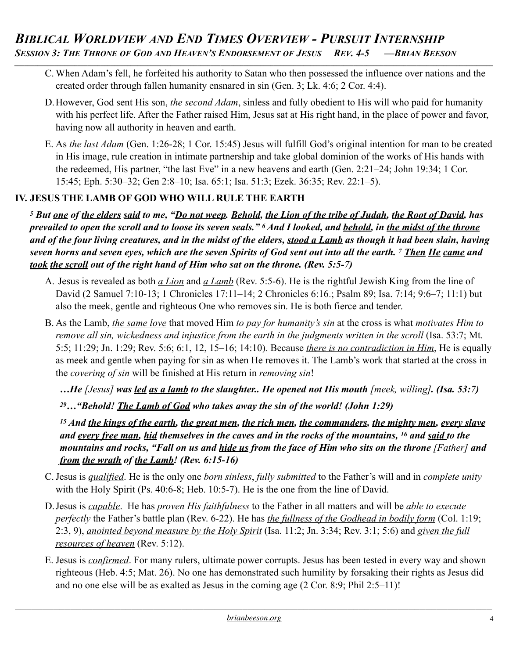C. When Adam's fell, he forfeited his authority to Satan who then possessed the influence over nations and the created order through fallen humanity ensnared in sin (Gen. 3; Lk. 4:6; 2 Cor. 4:4).

*\_\_\_\_\_\_\_\_\_\_\_\_\_\_\_\_\_\_\_\_\_\_\_\_\_\_\_\_\_\_\_\_\_\_\_\_\_\_\_\_\_\_\_\_\_\_\_\_\_\_\_\_\_\_\_\_\_\_\_\_\_\_\_\_\_\_\_\_\_\_\_\_\_\_\_\_\_\_\_\_\_\_\_\_\_\_\_\_\_\_\_\_\_\_\_\_\_\_\_\_\_\_\_\_\_\_\_\_\_\_\_\_\_\_\_\_\_\_\_\_\_\_\_\_\_\_\_\_\_\_\_\_\_\_\_\_\_\_\_\_\_\_\_\_*

- D.However, God sent His son, *the second Adam*, sinless and fully obedient to His will who paid for humanity with his perfect life. After the Father raised Him, Jesus sat at His right hand, in the place of power and favor, having now all authority in heaven and earth.
- E. As *the last Adam* (Gen. 1:26-28; 1 Cor. 15:45) Jesus will fulfill God's original intention for man to be created in His image, rule creation in intimate partnership and take global dominion of the works of His hands with the redeemed, His partner, "the last Eve" in a new heavens and earth (Gen. 2:21–24; John 19:34; 1 Cor. 15:45; Eph. 5:30–32; Gen 2:8–10; Isa. 65:1; Isa. 51:3; Ezek. 36:35; Rev. 22:1–5).

### **IV. JESUS THE LAMB OF GOD WHO WILL RULE THE EARTH**

*5 But one of the elders said to me, "Do not weep. Behold, the Lion of the tribe of Judah, the Root of David, has prevailed to open the scroll and to loose its seven seals." 6 And I looked, and behold, in the midst of the throne and of the four living creatures, and in the midst of the elders, stood a Lamb as though it had been slain, having seven horns and seven eyes, which are the seven Spirits of God sent out into all the earth. 7 Then He came and took the scroll out of the right hand of Him who sat on the throne. (Rev. 5:5-7)* 

- A. Jesus is revealed as both *a Lion* and *a Lamb* (Rev. 5:5-6). He is the rightful Jewish King from the line of David (2 Samuel 7:10-13; [1 Chronicles 17:11–14;](http://biblia.com/bible/esv/1%20Chron%2017.11%E2%80%9314) [2 Chronicles 6:16](http://biblia.com/bible/esv/2%20Chron%206.16).; Psalm 89; Isa. 7:14; 9:6–7; 11:1) but also the meek, gentle and righteous One who removes sin. He is both fierce and tender.
- B. As the Lamb, *the same love* that moved Him *to pay for humanity's sin* at the cross is what *motivates Him to remove all sin, wickedness and injustice from the earth in the judgments written in the scroll* (Isa. 53:7; Mt. 5:5; 11:29; Jn. 1:29; Rev. 5:6; 6:1, 12, 15–16; 14:10)*.* Because *there is no contradiction in Him*, He is equally as meek and gentle when paying for sin as when He removes it. The Lamb's work that started at the cross in the *covering of sin* will be finished at His return in *removing sin*!

*…He [Jesus] was led as a lamb to the slaughter.. He opened not His mouth [meek, willing]. (Isa. 53:7)*

*29…"Behold! The Lamb of God who takes away the sin of the world! (John 1:29)*

*15 And the kings of the earth, the great men, the rich men, the commanders, the mighty men, every slave and every free man, hid themselves in the caves and in the rocks of the mountains, 16 and said to the mountains and rocks, "Fall on us and hide us from the face of Him who sits on the throne [Father] and from the wrath of the Lamb! (Rev. 6:15-16)* 

- C.Jesus is *qualified*. He is the only one *born sinless*, *fully submitted* to the Father's will and in *complete unity* with the Holy Spirit (Ps. 40:6-8; Heb. 10:5-7). He is the one from the line of David.
- D.Jesus is *capable*. He has *proven His faithfulness* to the Father in all matters and will be *able to execute perfectly* the Father's battle plan (Rev. 6-22). He has *the fullness of the Godhead in bodily form* (Col. 1:19; 2:3, 9), *anointed beyond measure by the Holy Spirit* (Isa. 11:2; Jn. 3:34; Rev. 3:1; 5:6) and *given the full resources of heaven* (Rev. 5:12).
- E. Jesus is *confirmed*. For many rulers, ultimate power corrupts. Jesus has been tested in every way and shown righteous (Heb. 4:5; Mat. 26). No one has demonstrated such humility by forsaking their rights as Jesus did and no one else will be as exalted as Jesus in the coming age (2 Cor. 8:9; Phil 2:5–11)!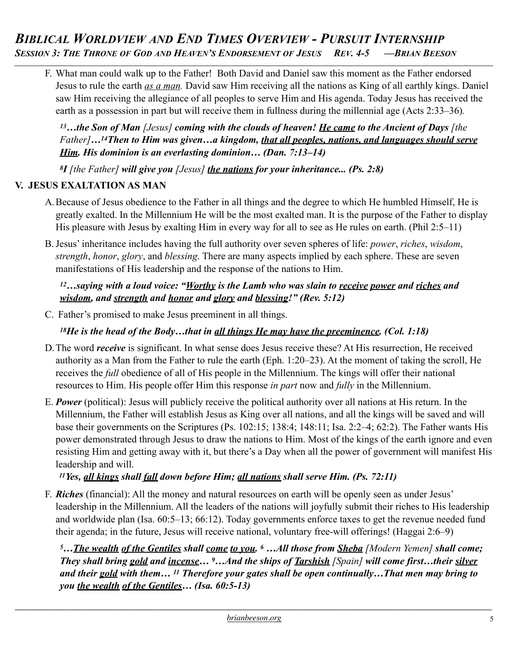F. What man could walk up to the Father! Both David and Daniel saw this moment as the Father endorsed Jesus to rule the earth *as a man.* David saw Him receiving all the nations as King of all earthly kings. Daniel saw Him receiving the allegiance of all peoples to serve Him and His agenda. Today Jesus has received the earth as a possession in part but will receive them in fullness during the millennial age (Acts 2:33–36)*.* 

*\_\_\_\_\_\_\_\_\_\_\_\_\_\_\_\_\_\_\_\_\_\_\_\_\_\_\_\_\_\_\_\_\_\_\_\_\_\_\_\_\_\_\_\_\_\_\_\_\_\_\_\_\_\_\_\_\_\_\_\_\_\_\_\_\_\_\_\_\_\_\_\_\_\_\_\_\_\_\_\_\_\_\_\_\_\_\_\_\_\_\_\_\_\_\_\_\_\_\_\_\_\_\_\_\_\_\_\_\_\_\_\_\_\_\_\_\_\_\_\_\_\_\_\_\_\_\_\_\_\_\_\_\_\_\_\_\_\_\_\_\_\_\_\_*

*13…the Son of Man [Jesus] coming with the clouds of heaven! He came to the Ancient of Days [the Father]…14Then to Him was given…a kingdom, that all peoples, nations, and languages should serve Him. His dominion is an everlasting dominion… (Dan. 7:13–14)*

*8I [the Father] will give you [Jesus] the nations for your inheritance... (Ps. 2:8)*

#### **V. JESUS EXALTATION AS MAN**

- A.Because of Jesus obedience to the Father in all things and the degree to which He humbled Himself, He is greatly exalted. In the Millennium He will be the most exalted man. It is the purpose of the Father to display His pleasure with Jesus by exalting Him in every way for all to see as He rules on earth. (Phil 2:5–11)
- B.Jesus' inheritance includes having the full authority over seven spheres of life: *power*, *riches*, *wisdom*, *strength*, *honor*, *glory*, and *blessing*. There are many aspects implied by each sphere. These are seven manifestations of His leadership and the response of the nations to Him.

*12…saying with a loud voice: "Worthy is the Lamb who was slain to receive power and riches and wisdom, and strength and honor and glory and blessing!" (Rev. 5:12)* 

C. Father's promised to make Jesus preeminent in all things.

*18He is the head of the Body…that in all things He may have the preeminence. (Col. 1:18)*

- D.The word *receive* is significant. In what sense does Jesus receive these? At His resurrection, He received authority as a Man from the Father to rule the earth (Eph. 1:20–23). At the moment of taking the scroll, He receives the *full* obedience of all of His people in the Millennium. The kings will offer their national resources to Him. His people offer Him this response *in part* now and *fully* in the Millennium.
- E. *Power* (political): Jesus will publicly receive the political authority over all nations at His return. In the Millennium, the Father will establish Jesus as King over all nations, and all the kings will be saved and will base their governments on the Scriptures (Ps. 102:15; 138:4; 148:11; Isa. 2:2–4; 62:2). The Father wants His power demonstrated through Jesus to draw the nations to Him. Most of the kings of the earth ignore and even resisting Him and getting away with it, but there's a Day when all the power of government will manifest His leadership and will.

*11Yes, all kings shall fall down before Him; all nations shall serve Him. (Ps. 72:11)*

F. *Riches* (financial): All the money and natural resources on earth will be openly seen as under Jesus' leadership in the Millennium. All the leaders of the nations will joyfully submit their riches to His leadership and worldwide plan (Isa. 60:5–13; 66:12). Today governments enforce taxes to get the revenue needed fund their agenda; in the future, Jesus will receive national, voluntary free-will offerings! (Haggai 2:6–9)

*5…The wealth of the Gentiles shall come to you. 6 …All those from Sheba [Modern Yemen] shall come; They shall bring gold and incense… 9…And the ships of Tarshish [Spain] will come first…their silver and their gold with them… 11 Therefore your gates shall be open continually…That men may bring to you the wealth of the Gentiles… (Isa. 60:5-13)*